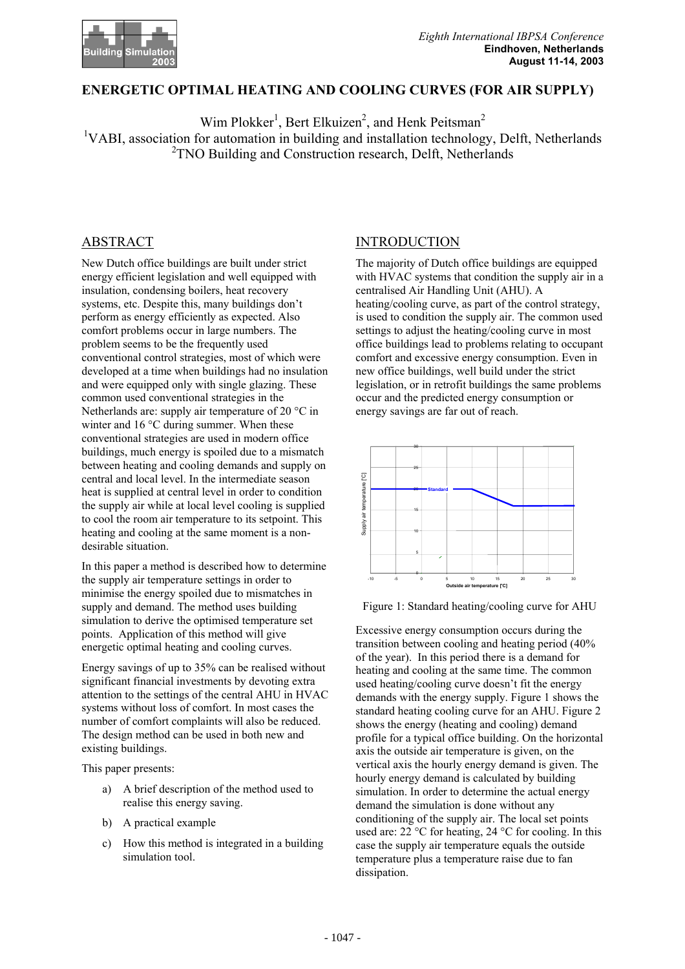

### **ENERGETIC OPTIMAL HEATING AND COOLING CURVES (FOR AIR SUPPLY)**

Wim Plokker<sup>1</sup>, Bert Elkuizen<sup>2</sup>, and Henk Peitsman<sup>2</sup> <sup>1</sup>VABI, association for automation in building and installation technology, Delft, Netherlands <sup>2</sup>TNO Building and Construction research, Delft, Netherlands

## ABSTRACT

New Dutch office buildings are built under strict energy efficient legislation and well equipped with insulation, condensing boilers, heat recovery systems, etc. Despite this, many buildings don't perform as energy efficiently as expected. Also comfort problems occur in large numbers. The problem seems to be the frequently used conventional control strategies, most of which were developed at a time when buildings had no insulation and were equipped only with single glazing. These common used conventional strategies in the Netherlands are: supply air temperature of 20 °C in winter and 16 °C during summer. When these conventional strategies are used in modern office buildings, much energy is spoiled due to a mismatch between heating and cooling demands and supply on central and local level. In the intermediate season heat is supplied at central level in order to condition the supply air while at local level cooling is supplied to cool the room air temperature to its setpoint. This heating and cooling at the same moment is a nondesirable situation.

In this paper a method is described how to determine the supply air temperature settings in order to minimise the energy spoiled due to mismatches in supply and demand. The method uses building simulation to derive the optimised temperature set points. Application of this method will give energetic optimal heating and cooling curves.

Energy savings of up to 35% can be realised without significant financial investments by devoting extra attention to the settings of the central AHU in HVAC systems without loss of comfort. In most cases the number of comfort complaints will also be reduced. The design method can be used in both new and existing buildings.

This paper presents:

- a) A brief description of the method used to realise this energy saving.
- b) A practical example
- c) How this method is integrated in a building simulation tool.

### INTRODUCTION

The majority of Dutch office buildings are equipped with HVAC systems that condition the supply air in a centralised Air Handling Unit (AHU). A heating/cooling curve, as part of the control strategy, is used to condition the supply air. The common used settings to adjust the heating/cooling curve in most office buildings lead to problems relating to occupant comfort and excessive energy consumption. Even in new office buildings, well build under the strict legislation, or in retrofit buildings the same problems occur and the predicted energy consumption or energy savings are far out of reach.



Figure 1: Standard heating/cooling curve for AHU

Excessive energy consumption occurs during the transition between cooling and heating period (40% of the year). In this period there is a demand for heating and cooling at the same time. The common used heating/cooling curve doesn't fit the energy demands with the energy supply. Figure 1 shows the standard heating cooling curve for an AHU. Figure 2 shows the energy (heating and cooling) demand profile for a typical office building. On the horizontal axis the outside air temperature is given, on the vertical axis the hourly energy demand is given. The hourly energy demand is calculated by building simulation. In order to determine the actual energy demand the simulation is done without any conditioning of the supply air. The local set points used are:  $22 \text{ °C}$  for heating,  $24 \text{ °C}$  for cooling. In this case the supply air temperature equals the outside temperature plus a temperature raise due to fan dissipation.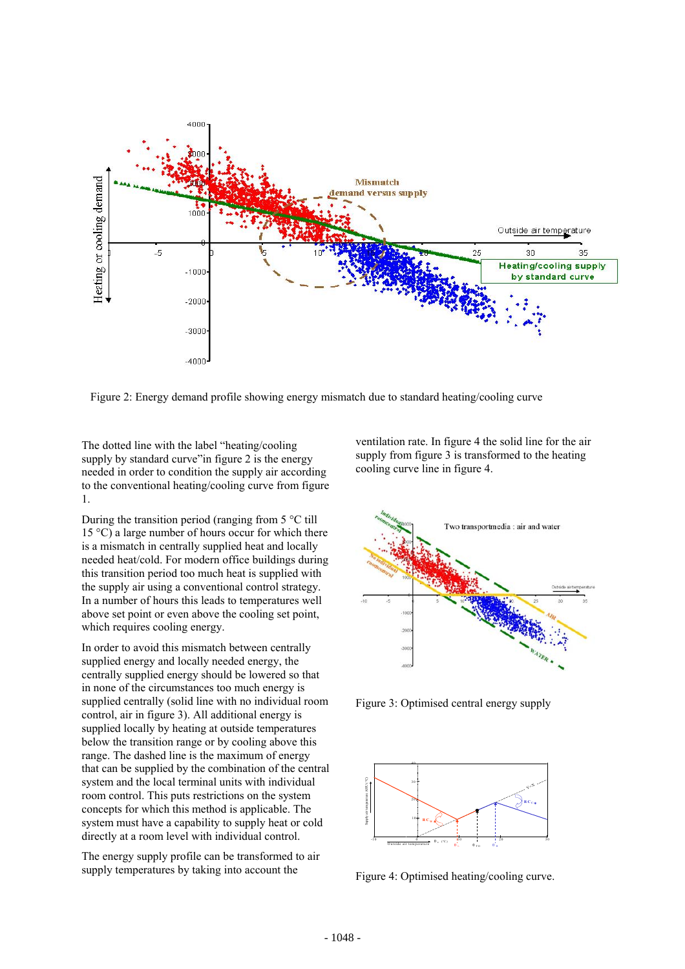

Figure 2: Energy demand profile showing energy mismatch due to standard heating/cooling curve

The dotted line with the label "heating/cooling supply by standard curve" in figure 2 is the energy needed in order to condition the supply air according to the conventional heating/cooling curve from figure 1.

During the transition period (ranging from 5 °C till 15  $\degree$ C) a large number of hours occur for which there is a mismatch in centrally supplied heat and locally needed heat/cold. For modern office buildings during this transition period too much heat is supplied with the supply air using a conventional control strategy. In a number of hours this leads to temperatures well above set point or even above the cooling set point, which requires cooling energy.

In order to avoid this mismatch between centrally supplied energy and locally needed energy, the centrally supplied energy should be lowered so that in none of the circumstances too much energy is supplied centrally (solid line with no individual room control, air in figure 3). All additional energy is supplied locally by heating at outside temperatures below the transition range or by cooling above this range. The dashed line is the maximum of energy that can be supplied by the combination of the central system and the local terminal units with individual room control. This puts restrictions on the system concepts for which this method is applicable. The system must have a capability to supply heat or cold directly at a room level with individual control.

The energy supply profile can be transformed to air supply temperatures by taking into account the

ventilation rate. In figure 4 the solid line for the air supply from figure 3 is transformed to the heating cooling curve line in figure 4.



Figure 3: Optimised central energy supply



Figure 4: Optimised heating/cooling curve.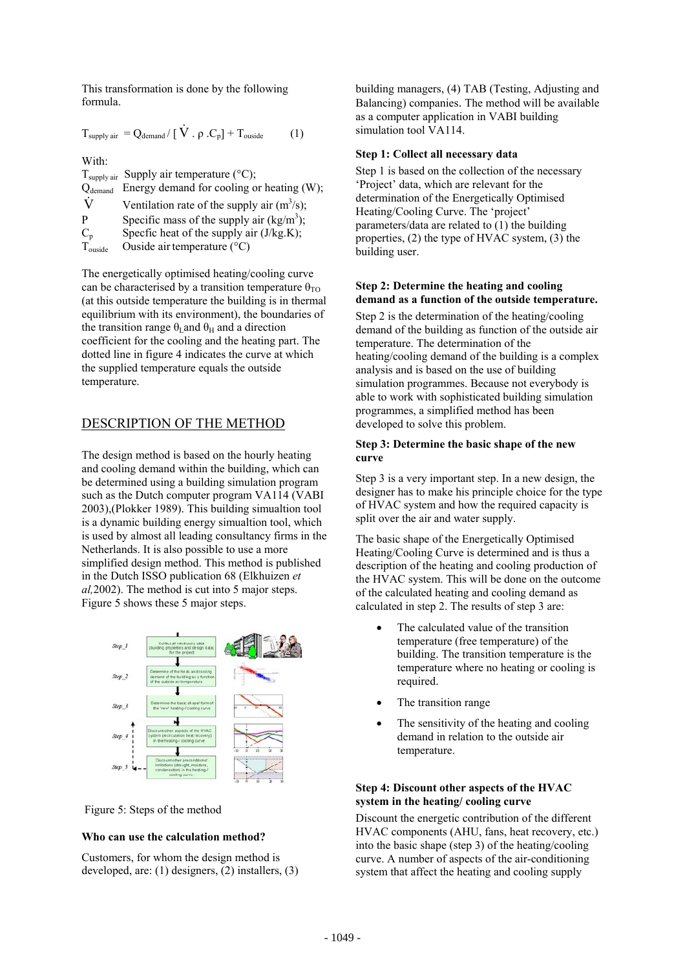This transformation is done by the following formula.

$$
T_{\text{supply air}} = Q_{\text{demand}} / [\dot{V} \cdot \rho \cdot C_p] + T_{\text{outside}} \qquad (1)
$$

With:

 $T_{\text{supply air}}$  Supply air temperature (°C);  $Q_{demand}$  Energy demand for cooling or heating (W);  $\dot{V}$  Ventilation rate of the supply air (m<sup>3</sup>/s); P Specific mass of the supply air  $(kg/m^3)$ ;  $C_p$  Specfic heat of the supply air (J/kg.K);<br>T<sub>ouside</sub> Ouside air temperature (°C) Ouside air temperature  $(^{\circ}C)$ 

The energetically optimised heating/cooling curve can be characterised by a transition temperature  $\theta_{\text{TO}}$ (at this outside temperature the building is in thermal equilibrium with its environment), the boundaries of the transition range  $\theta$ <sub>L</sub>and  $\theta$ <sub>H</sub> and a direction coefficient for the cooling and the heating part. The dotted line in figure 4 indicates the curve at which the supplied temperature equals the outside temperature.

## DESCRIPTION OF THE METHOD

The design method is based on the hourly heating and cooling demand within the building, which can be determined using a building simulation program such as the Dutch computer program VA114 (VABI 2003),(Plokker 1989). This building simualtion tool is a dynamic building energy simualtion tool, which is used by almost all leading consultancy firms in the Netherlands. It is also possible to use a more simplified design method. This method is published in the Dutch ISSO publication 68 (Elkhuizen *et al,*2002). The method is cut into 5 major steps. Figure 5 shows these 5 major steps.



Figure 5: Steps of the method

### **Who can use the calculation method?**

Customers, for whom the design method is developed, are: (1) designers, (2) installers, (3) building managers, (4) TAB (Testing, Adjusting and Balancing) companies. The method will be available as a computer application in VABI building simulation tool VA114.

#### **Step 1: Collect all necessary data**

Step 1 is based on the collection of the necessary 'Project' data, which are relevant for the determination of the Energetically Optimised Heating/Cooling Curve. The 'project' parameters/data are related to (1) the building properties, (2) the type of HVAC system, (3) the building user.

#### **Step 2: Determine the heating and cooling demand as a function of the outside temperature.**

Step 2 is the determination of the heating/cooling demand of the building as function of the outside air temperature. The determination of the heating/cooling demand of the building is a complex analysis and is based on the use of building simulation programmes. Because not everybody is able to work with sophisticated building simulation programmes, a simplified method has been developed to solve this problem.

#### **Step 3: Determine the basic shape of the new curve**

Step 3 is a very important step. In a new design, the designer has to make his principle choice for the type of HVAC system and how the required capacity is split over the air and water supply.

The basic shape of the Energetically Optimised Heating/Cooling Curve is determined and is thus a description of the heating and cooling production of the HVAC system. This will be done on the outcome of the calculated heating and cooling demand as calculated in step 2. The results of step 3 are:

- The calculated value of the transition temperature (free temperature) of the building. The transition temperature is the temperature where no heating or cooling is required.
- The transition range
- The sensitivity of the heating and cooling demand in relation to the outside air temperature.

### **Step 4: Discount other aspects of the HVAC system in the heating/ cooling curve**

Discount the energetic contribution of the different HVAC components (AHU, fans, heat recovery, etc.) into the basic shape (step 3) of the heating/cooling curve. A number of aspects of the air-conditioning system that affect the heating and cooling supply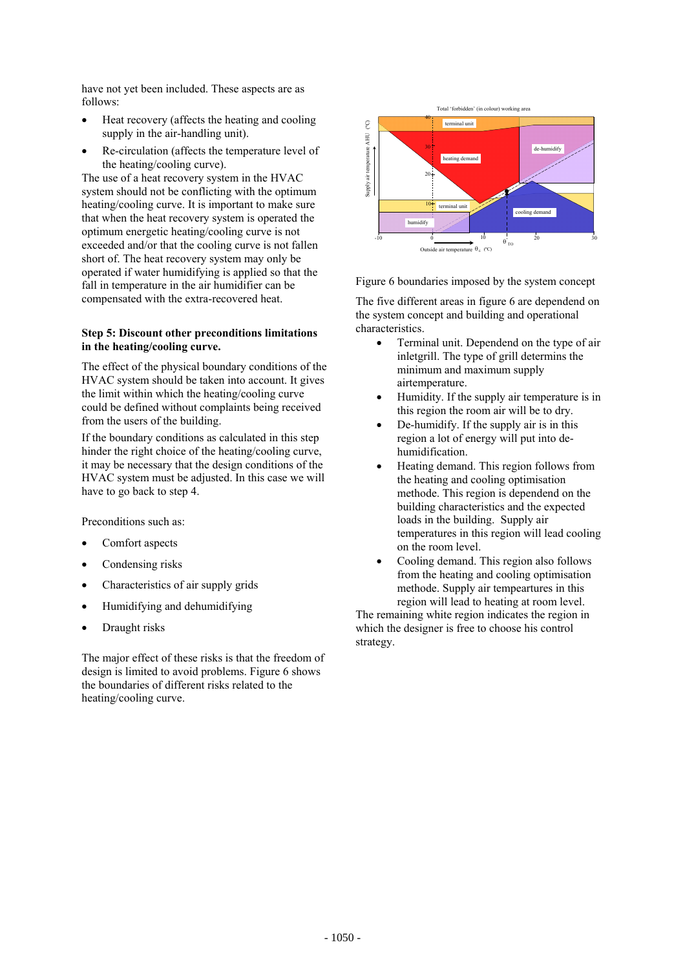have not yet been included. These aspects are as follows:

- Heat recovery (affects the heating and cooling supply in the air-handling unit).
- Re-circulation (affects the temperature level of the heating/cooling curve).

The use of a heat recovery system in the HVAC system should not be conflicting with the optimum heating/cooling curve. It is important to make sure that when the heat recovery system is operated the optimum energetic heating/cooling curve is not exceeded and/or that the cooling curve is not fallen short of. The heat recovery system may only be operated if water humidifying is applied so that the fall in temperature in the air humidifier can be compensated with the extra-recovered heat.

### **Step 5: Discount other preconditions limitations in the heating/cooling curve.**

The effect of the physical boundary conditions of the HVAC system should be taken into account. It gives the limit within which the heating/cooling curve could be defined without complaints being received from the users of the building.

If the boundary conditions as calculated in this step hinder the right choice of the heating/cooling curve, it may be necessary that the design conditions of the HVAC system must be adjusted. In this case we will have to go back to step 4.

Preconditions such as:

- Comfort aspects
- Condensing risks
- Characteristics of air supply grids
- Humidifying and dehumidifying
- Draught risks

The major effect of these risks is that the freedom of design is limited to avoid problems. Figure 6 shows the boundaries of different risks related to the heating/cooling curve.



Figure 6 boundaries imposed by the system concept

The five different areas in figure 6 are dependend on the system concept and building and operational characteristics.

- Terminal unit. Dependend on the type of air inletgrill. The type of grill determins the minimum and maximum supply airtemperature.
- Humidity. If the supply air temperature is in this region the room air will be to dry.
- De-humidify. If the supply air is in this region a lot of energy will put into dehumidification.
- Heating demand. This region follows from the heating and cooling optimisation methode. This region is dependend on the building characteristics and the expected loads in the building. Supply air temperatures in this region will lead cooling on the room level.
- Cooling demand. This region also follows from the heating and cooling optimisation methode. Supply air tempeartures in this region will lead to heating at room level.

The remaining white region indicates the region in which the designer is free to choose his control strategy.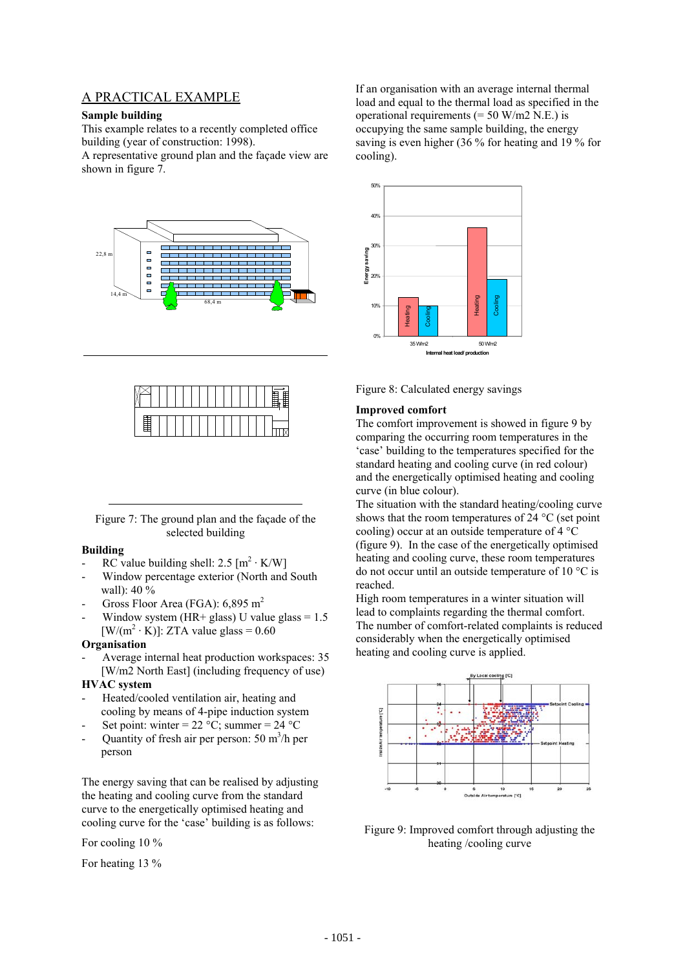## A PRACTICAL EXAMPLE

#### **Sample building**

This example relates to a recently completed office building (year of construction: 1998).

A representative ground plan and the façade view are shown in figure 7.



Figure 7: The ground plan and the façade of the selected building

### **Building**

- RC value building shell:  $2.5 \text{ [m}^2 \cdot \text{K/W]}$
- Window percentage exterior (North and South wall):  $40\%$
- Gross Floor Area (FGA):  $6,895 \text{ m}^2$
- Window system (HR+ glass) U value glass =  $1.5$  $[ W/(m^2 \cdot K) ]$ : ZTA value glass = 0.60

#### **Organisation**

Average internal heat production workspaces: 35 [W/m2 North East] (including frequency of use)

### **HVAC system**

- Heated/cooled ventilation air, heating and cooling by means of 4-pipe induction system
- Set point: winter =  $22 \text{ °C}$ ; summer =  $24 \text{ °C}$
- Quantity of fresh air per person:  $50 \text{ m}^3/\text{h}$  per person

The energy saving that can be realised by adjusting the heating and cooling curve from the standard curve to the energetically optimised heating and cooling curve for the 'case' building is as follows:

For cooling 10 %

For heating 13 %

If an organisation with an average internal thermal load and equal to the thermal load as specified in the operational requirements  $(= 50 \text{ W/m2 N.E.})$  is occupying the same sample building, the energy saving is even higher (36 % for heating and 19 % for cooling).





#### **Improved comfort**

The comfort improvement is showed in figure 9 by comparing the occurring room temperatures in the 'case' building to the temperatures specified for the standard heating and cooling curve (in red colour) and the energetically optimised heating and cooling curve (in blue colour).

The situation with the standard heating/cooling curve shows that the room temperatures of 24 °C (set point cooling) occur at an outside temperature of 4 °C (figure 9). In the case of the energetically optimised heating and cooling curve, these room temperatures do not occur until an outside temperature of 10 °C is reached.

High room temperatures in a winter situation will lead to complaints regarding the thermal comfort. The number of comfort-related complaints is reduced considerably when the energetically optimised heating and cooling curve is applied.



Figure 9: Improved comfort through adjusting the heating /cooling curve